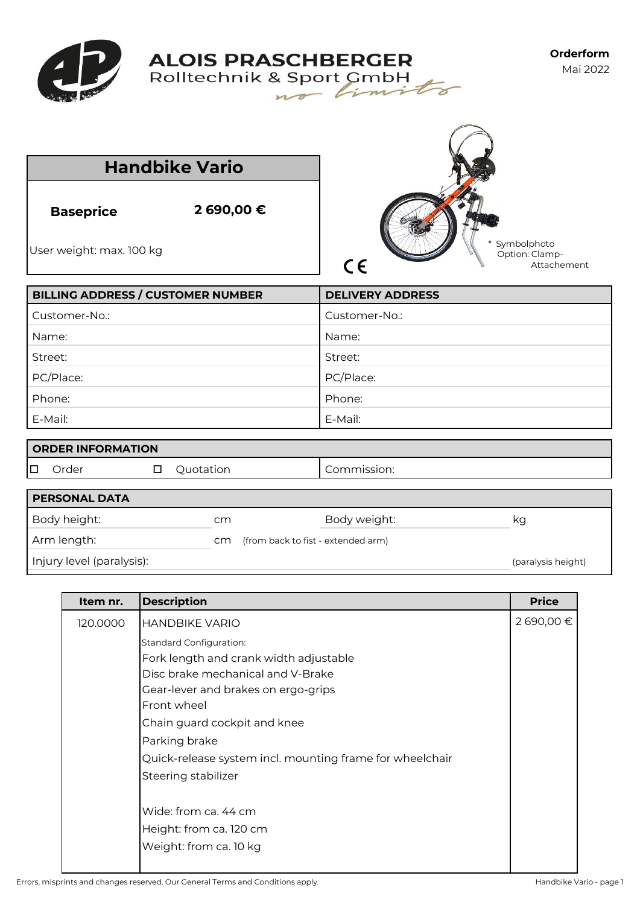



|                                              | <b>Handbike Vario</b> |                                                         |
|----------------------------------------------|-----------------------|---------------------------------------------------------|
| <b>Baseprice</b><br>User weight: max. 100 kg | 2 690,00 €            | Symbolphoto<br>Option: Clamp-<br>$C \in$<br>Attachement |
| <b>BILLING ADDRESS / CUSTOMER NUMBER</b>     |                       | <b>DELIVERY ADDRESS</b>                                 |
| Customer-No.:                                |                       | Customer-No.:                                           |
| Name:                                        |                       | Name:                                                   |
| Street:                                      |                       | Street:                                                 |
| PC/Place:                                    |                       | PC/Place:                                               |
| Phone:                                       |                       | Phone:                                                  |
| E-Mail:                                      |                       | E-Mail:                                                 |
| <b>ORDER INFORMATION</b>                     |                       |                                                         |
| Order<br>□                                   | Quotation<br>$\Box$   | Commission:                                             |
| <b>PERSONAL DATA</b>                         |                       |                                                         |
| Body height:                                 | cm                    | Body weight:<br>kg                                      |

| Arm length: | CM (from back to fist - extended arm) |
|-------------|---------------------------------------|
|             |                                       |

Injury level (paralysis): (paralysis height) and the control of the control of the control of the control of the control of the control of the control of the control of the control of the control of the control of the cont

| Item nr. | <b>Description</b>                                       | <b>Price</b> |
|----------|----------------------------------------------------------|--------------|
| 120.0000 | <b>HANDBIKE VARIO</b>                                    | 2 690,00 €   |
|          | <b>Standard Configuration:</b>                           |              |
|          | Fork length and crank width adjustable                   |              |
|          | Disc brake mechanical and V-Brake                        |              |
|          | Gear-lever and brakes on ergo-grips                      |              |
|          | Front wheel                                              |              |
|          | Chain guard cockpit and knee                             |              |
|          | Parking brake                                            |              |
|          | Quick-release system incl. mounting frame for wheelchair |              |
|          | Steering stabilizer                                      |              |
|          |                                                          |              |
|          | Wide: from ca. 44 cm                                     |              |
|          | Height: from ca. 120 cm                                  |              |
|          | Weight: from ca. 10 kg                                   |              |

Errors, misprints and changes reserved. Our General Terms and Conditions apply. The state of the Mandbike Vario - page 1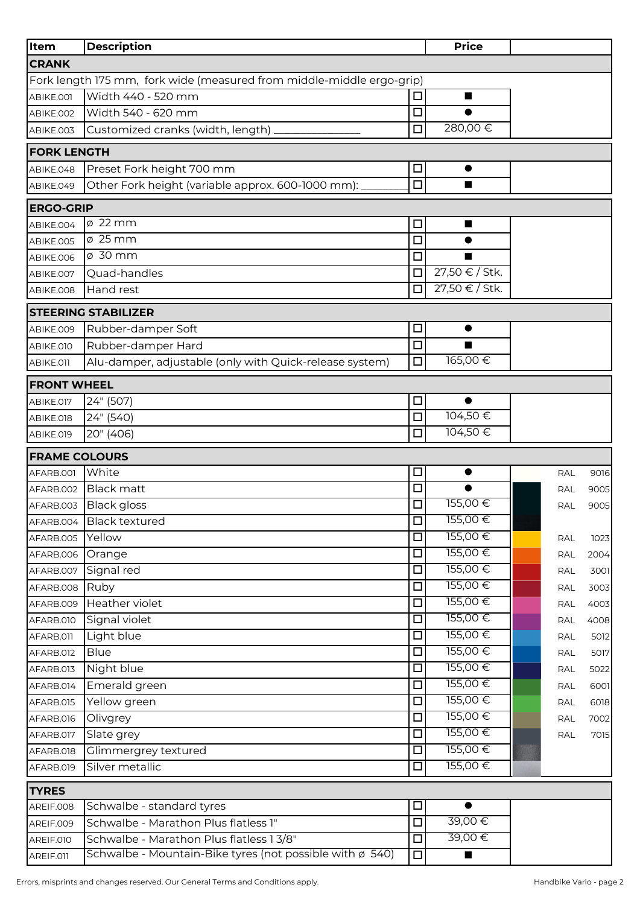| Item                      | <b>Description</b>                                                    |                  | <b>Price</b>         |            |              |
|---------------------------|-----------------------------------------------------------------------|------------------|----------------------|------------|--------------|
| <b>CRANK</b>              |                                                                       |                  |                      |            |              |
|                           | Fork length 175 mm, fork wide (measured from middle-middle ergo-grip) |                  |                      |            |              |
| ABIKE.001                 | Width 440 - 520 mm                                                    | □                | ■                    |            |              |
| ABIKE.002                 | Width 540 - 620 mm                                                    | $\Box$           |                      |            |              |
| ABIKE.003                 | Customized cranks (width, length)                                     | $\Box$           | 280,00€              |            |              |
| <b>FORK LENGTH</b>        |                                                                       |                  |                      |            |              |
| ABIKE.048                 | Preset Fork height 700 mm                                             | □                | $\bullet$            |            |              |
| ABIKE.049                 | Other Fork height (variable approx. 600-1000 mm):                     | $\Box$           | $\blacksquare$       |            |              |
| <b>ERGO-GRIP</b>          |                                                                       |                  |                      |            |              |
| ABIKE.004                 | $\varnothing$ 22 mm                                                   | $\Box$           | п                    |            |              |
| ABIKE.005                 | $\varnothing$ 25 mm                                                   | $\Box$           |                      |            |              |
| ABIKE.006                 | ø 30 mm                                                               | □                |                      |            |              |
| ABIKE.007                 | Quad-handles                                                          | □                | 27,50 € / Stk.       |            |              |
| ABIKE.008                 | Hand rest                                                             | $\Box$           | 27,50 € / Stk.       |            |              |
|                           | <b>STEERING STABILIZER</b>                                            |                  |                      |            |              |
| ABIKE.009                 | Rubber-damper Soft                                                    | □                | $\bullet$            |            |              |
| <b>ABIKE.010</b>          | Rubber-damper Hard                                                    | $\Box$           | $\blacksquare$       |            |              |
| ABIKE.011                 | Alu-damper, adjustable (only with Quick-release system)               | $\Box$           | 165,00€              |            |              |
|                           |                                                                       |                  |                      |            |              |
| <b>FRONT WHEEL</b>        |                                                                       |                  |                      |            |              |
| ABIKE.017                 | 24" (507)<br>24" (540)                                                | □<br>$\Box$      | 104,50€              |            |              |
| ABIKE.018                 | 20" (406)                                                             | □                | 104,50€              |            |              |
| ABIKE.019                 |                                                                       |                  |                      |            |              |
| <b>FRAME COLOURS</b>      |                                                                       |                  |                      |            |              |
| AFARB.001                 | White                                                                 | □                |                      | RAL        | 9016         |
| AFARB.002                 | <b>Black matt</b>                                                     | □                | $\bullet$<br>155,00€ | <b>RAL</b> | 9005         |
| AFARB.003                 | <b>Black gloss</b>                                                    | □                | 155,00€              | <b>RAL</b> | 9005         |
|                           | AFARB.004 Black textured                                              | 미                | 155,00€              |            |              |
| AFARB.005                 | Yellow                                                                | $\Box$<br>$\Box$ | 155,00€              | RAL        | 1023         |
| AFARB.006<br>AFARB.007    | Orange<br>Signal red                                                  | $\Box$           | 155,00€              | <b>RAL</b> | 2004         |
|                           | Ruby                                                                  | $\Box$           | 155,00€              | <b>RAL</b> | 3001         |
| AFARB.008<br>AFARB.009    | Heather violet                                                        | $\Box$           | 155,00€              | RAL        | 3003<br>4003 |
| AFARB.010                 | Signal violet                                                         | $\Box$           | 155,00€              | RAL<br>RAL | 4008         |
| AFARB.011                 | Light blue                                                            | $\Box$           | 155,00€              | <b>RAL</b> | 5012         |
| AFARB.012                 | <b>Blue</b>                                                           | □                | 155,00€              | RAL        | 5017         |
| AFARB.013                 | Night blue                                                            | $\Box$           | 155,00€              | RAL        | 5022         |
| AFARB.014                 | Emerald green                                                         | □                | 155,00€              | RAL        | 6001         |
| AFARB.015                 | Yellow green                                                          | $\Box$           | 155,00€              | RAL        | 6018         |
| AFARB.016                 | Olivgrey                                                              | $\Box$           | 155,00€              | RAL        | 7002         |
| AFARB.017                 | Slate grey                                                            | $\Box$           | 155,00€              | <b>RAL</b> | 7015         |
| AFARB.018                 | Glimmergrey textured                                                  | $\Box$           | 155,00€              |            |              |
| AFARB.019                 | Silver metallic                                                       | $\Box$           | 155,00€              |            |              |
|                           |                                                                       |                  |                      |            |              |
| <b>TYRES</b><br>AREIF.008 | Schwalbe - standard tyres                                             | □                |                      |            |              |
| AREIF.009                 | Schwalbe - Marathon Plus flatless 1"                                  | $\Box$           | 39,00€               |            |              |
| AREIF.010                 | Schwalbe - Marathon Plus flatless 13/8"                               | $\Box$           | 39,00€               |            |              |
| AREIF.011                 | Schwalbe - Mountain-Bike tyres (not possible with ø 540)              | $\Box$           | п                    |            |              |
|                           |                                                                       |                  |                      |            |              |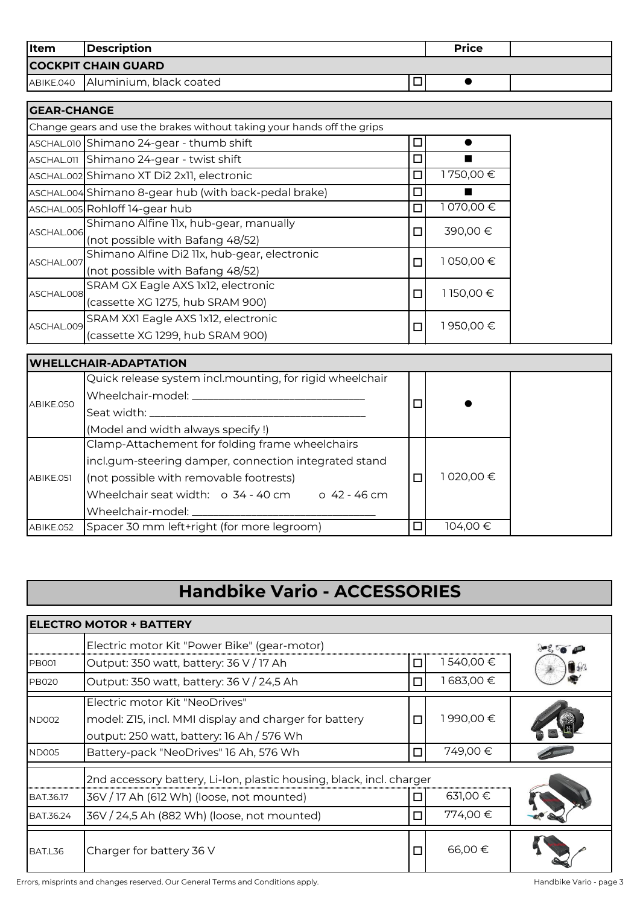| <b>Item</b> | <i><b>Description</b></i>         |    | <b>Price</b> |  |
|-------------|-----------------------------------|----|--------------|--|
|             | <b>COCKPIT CHAIN GUARD</b>        |    |              |  |
|             | ABIKE.040 Aluminium, black coated | سا |              |  |

| <b>GEAR-CHANGE</b> |                                                                         |        |            |  |
|--------------------|-------------------------------------------------------------------------|--------|------------|--|
|                    | Change gears and use the brakes without taking your hands off the grips |        |            |  |
|                    | ASCHAL.010 Shimano 24-gear - thumb shift                                | □      |            |  |
|                    | ASCHAL.011 Shimano 24-gear - twist shift                                | $\Box$ |            |  |
|                    | ASCHAL.002 Shimano XT Di2 2x11, electronic                              | □      | 1750,00 €  |  |
|                    | ASCHAL.004 Shimano 8-gear hub (with back-pedal brake)                   | $\Box$ |            |  |
|                    | ASCHAL.005 Rohloff 14-gear hub                                          | $\Box$ | 1 070,00 € |  |
| ASCHAL.006         | Shimano Alfine IIx, hub-gear, manually                                  | $\Box$ | 390,00€    |  |
|                    | (not possible with Bafang 48/52)                                        |        |            |  |
| ASCHAL.007         | Shimano Alfine Di2 11x, hub-gear, electronic                            | $\Box$ | 1050,00€   |  |
|                    | (not possible with Bafang 48/52)                                        |        |            |  |
| ASCHAL.008         | SRAM GX Eagle AXS 1x12, electronic                                      | $\Box$ | 1150,00€   |  |
|                    | (cassette XG 1275, hub SRAM 900)                                        |        |            |  |
|                    | SRAM XXI Eagle AXS 1x12, electronic                                     |        | 1950,00€   |  |
| ASCHAL.009         | (cassette XG 1299, hub SRAM 900)                                        | $\Box$ |            |  |

|           | <b>UWHELLCHAIR-ADAPTATION</b>                            |        |           |
|-----------|----------------------------------------------------------|--------|-----------|
|           | Quick release system incl.mounting, for rigid wheelchair |        |           |
| ABIKE.050 | Wheelchair-model: ___                                    | $\Box$ |           |
|           | Seat width: _________                                    |        |           |
|           | (Model and width always specify!)                        |        |           |
|           | Clamp-Attachement for folding frame wheelchairs          |        |           |
|           | incl.gum-steering damper, connection integrated stand    |        |           |
| ABIKE.051 | (not possible with removable footrests)                  | ı      | 1020,00 € |
|           | Wheelchair seat width: o 34 - 40 cm o 42 - 46 cm         |        |           |
|           | Wheelchair-model:                                        |        |           |
| ABIKE.052 | Spacer 30 mm left+right (for more legroom)               | п      | 104,00 €  |

## **Handbike Vario - ACCESSORIES**

|              | <b>ELECTRO MOTOR + BATTERY</b>                                                                                                       |        |          |  |
|--------------|--------------------------------------------------------------------------------------------------------------------------------------|--------|----------|--|
|              | Electric motor Kit "Power Bike" (gear-motor)                                                                                         |        |          |  |
| <b>PB001</b> | Output: 350 watt, battery: 36 V / 17 Ah                                                                                              | □      | 540,00€  |  |
| <b>PB020</b> | Output: 350 watt, battery: 36 V / 24,5 Ah                                                                                            | $\Box$ | 683,00 € |  |
| <b>ND002</b> | Electric motor Kit "NeoDrives"<br>model: Z15, incl. MMI display and charger for battery<br>output: 250 watt, battery: 16 Ah / 576 Wh | $\Box$ | 1990,00€ |  |
| <b>ND005</b> | Battery-pack "NeoDrives" 16 Ah, 576 Wh                                                                                               | $\Box$ | 749,00€  |  |
|              | 2nd accessory battery, Li-Ion, plastic housing, black, incl. charger                                                                 |        |          |  |
| BAT.36.17    | 36V / 17 Ah (612 Wh) (loose, not mounted)                                                                                            | □      | 631,00 € |  |
| BAT.36.24    | 36V / 24,5 Ah (882 Wh) (loose, not mounted)                                                                                          | $\Box$ | 774,00 € |  |
| BAT.L36      | Charger for battery 36 V                                                                                                             | $\Box$ | 66,00€   |  |

Errors, misprints and changes reserved. Our General Terms and Conditions apply. The mass of the conditions apply the Mandbike Vario - page 3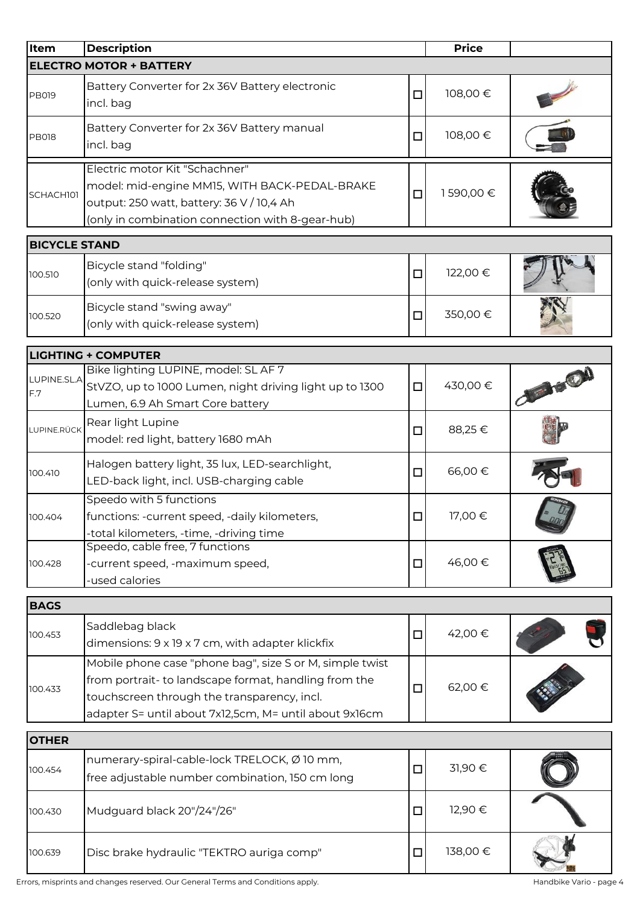| Item                 | <b>Description</b>                                                                                                                                                                                                         |        | <b>Price</b> |  |
|----------------------|----------------------------------------------------------------------------------------------------------------------------------------------------------------------------------------------------------------------------|--------|--------------|--|
|                      | <b>ELECTRO MOTOR + BATTERY</b>                                                                                                                                                                                             |        |              |  |
| <b>PB019</b>         | Battery Converter for 2x 36V Battery electronic<br>incl. bag                                                                                                                                                               | $\Box$ | 108,00€      |  |
| <b>PB018</b>         | Battery Converter for 2x 36V Battery manual<br>incl. bag                                                                                                                                                                   | □      | 108,00€      |  |
|                      | Electric motor Kit "Schachner"                                                                                                                                                                                             |        |              |  |
| SCHACH101            | model: mid-engine MM15, WITH BACK-PEDAL-BRAKE<br>output: 250 watt, battery: 36 V / 10,4 Ah<br>(only in combination connection with 8-gear-hub)                                                                             | $\Box$ | 1590,00€     |  |
| <b>BICYCLE STAND</b> |                                                                                                                                                                                                                            |        |              |  |
| 100.510              | Bicycle stand "folding"<br>(only with quick-release system)                                                                                                                                                                | $\Box$ | 122,00 €     |  |
| 100.520              | Bicycle stand "swing away"<br>(only with quick-release system)                                                                                                                                                             | $\Box$ | 350,00€      |  |
|                      | <b>LIGHTING + COMPUTER</b>                                                                                                                                                                                                 |        |              |  |
|                      | Bike lighting LUPINE, model: SL AF 7                                                                                                                                                                                       |        |              |  |
| LUPINE.SL.A<br>F.7   | StVZO, up to 1000 Lumen, night driving light up to 1300<br>Lumen, 6.9 Ah Smart Core battery                                                                                                                                | $\Box$ | 430,00€      |  |
| LUPINE.RÜCK          | Rear light Lupine<br>model: red light, battery 1680 mAh                                                                                                                                                                    | $\Box$ | 88,25€       |  |
| 100.410              | Halogen battery light, 35 lux, LED-searchlight,<br>LED-back light, incl. USB-charging cable                                                                                                                                | $\Box$ | 66,00€       |  |
| 100.404              | Speedo with 5 functions<br>functions: -current speed, -daily kilometers,<br>-total kilometers, -time, -driving time                                                                                                        | $\Box$ | 17,00 €      |  |
| 100.428              | Speedo, cable free, 7 functions<br>-current speed, -maximum speed,<br>-used calories                                                                                                                                       | $\Box$ | 46,00€       |  |
| <b>BAGS</b>          |                                                                                                                                                                                                                            |        |              |  |
| 100.453              | Saddlebag black<br>dimensions: 9 x 19 x 7 cm, with adapter klickfix                                                                                                                                                        | □      | 42,00 €      |  |
| 100.433              | Mobile phone case "phone bag", size S or M, simple twist<br>from portrait- to landscape format, handling from the<br>touchscreen through the transparency, incl.<br>adapter S= until about 7x12,5cm, M= until about 9x16cm | $\Box$ | 62,00 €      |  |
| <b>OTHER</b>         |                                                                                                                                                                                                                            |        |              |  |
| 100.454              | numerary-spiral-cable-lock TRELOCK, Ø 10 mm,<br>free adjustable number combination, 150 cm long                                                                                                                            | $\Box$ | 31,90€       |  |
| 100.430              | Mudguard black 20"/24"/26"                                                                                                                                                                                                 | $\Box$ | 12,90€       |  |
| 100.639              | Disc brake hydraulic "TEKTRO auriga comp"                                                                                                                                                                                  | $\Box$ | 138,00€      |  |

Errors, misprints and changes reserved. Our General Terms and Conditions apply. The state of the Mandbike Vario - page 4